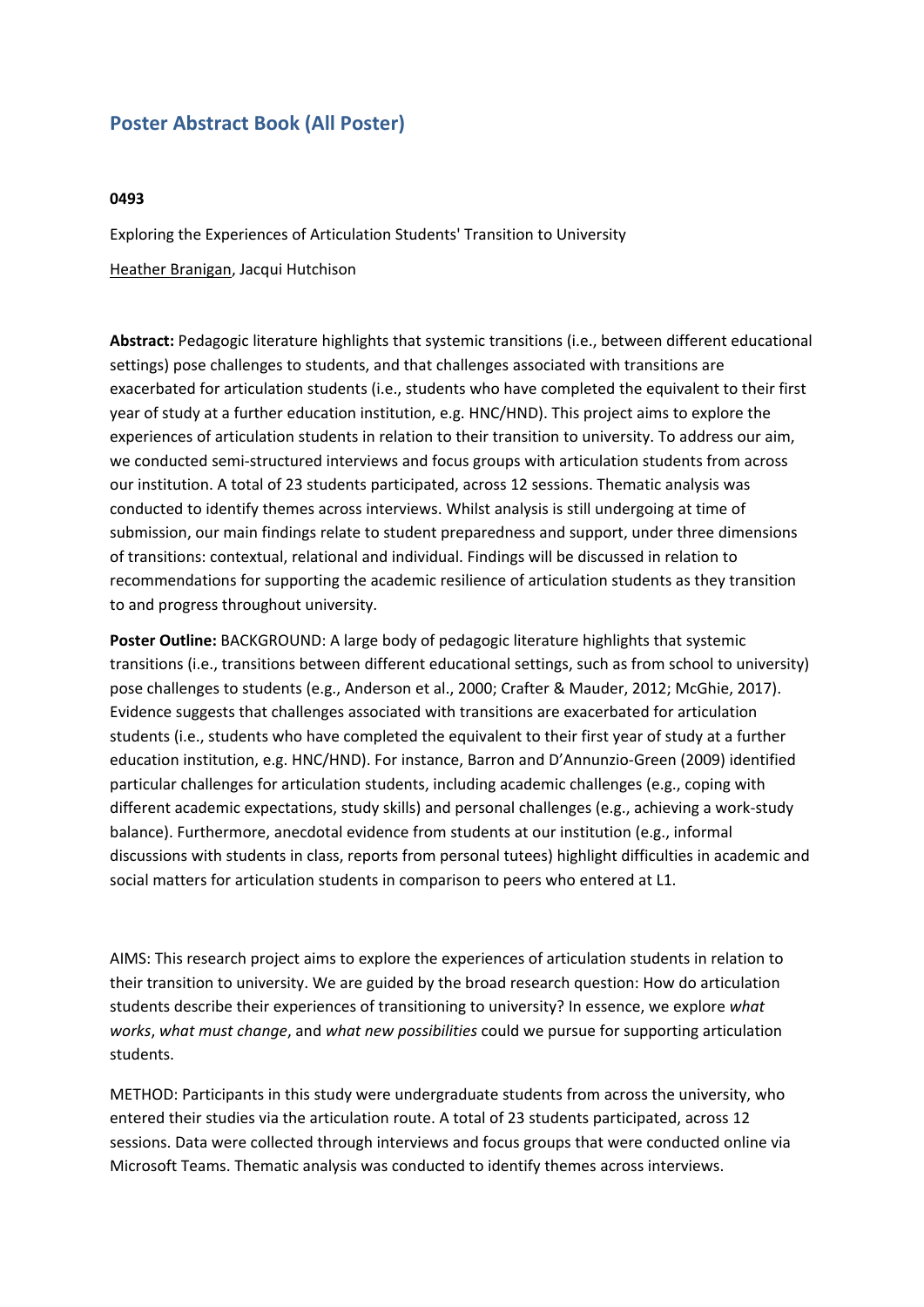## **Poster Abstract Book (All Poster)**

## **0493**

Exploring the Experiences of Articulation Students' Transition to University Heather Branigan, Jacqui Hutchison

**Abstract:** Pedagogic literature highlights that systemic transitions (i.e., between different educational settings) pose challenges to students, and that challenges associated with transitions are exacerbated for articulation students (i.e., students who have completed the equivalent to their first year of study at <sup>a</sup> further education institution, e.g. HNC/HND). This project aims to explore the experiences of articulation students in relation to their transition to university. To address our aim, we conducted semi-structured interviews and focus groups with articulation students from across our institution. A total of 23 students participated, across 12 sessions. Thematic analysis was conducted to identify themes across interviews. Whilst analysis is still undergoing at time of submission, our main findings relate to student preparedness and support, under three dimensions of transitions: contextual, relational and individual. Findings will be discussed in relation to recommendations for supporting the academic resilience of articulation students as they transition to and progress throughout university.

**Poster Outline:** BACKGROUND: A large body of pedagogic literature highlights that systemic transitions (i.e., transitions between different educational settings, such as from school to university) pose challenges to students (e.g., Anderson et al., 2000; Crafter & Mauder, 2012; McGhie, 2017). Evidence suggests that challenges associated with transitions are exacerbated for articulation students (i.e., students who have completed the equivalent to their first year of study at <sup>a</sup> further education institution, e.g. HNC/HND). For instance, Barron and D'Annunzio‐Green (2009) identified particular challenges for articulation students, including academic challenges (e.g., coping with different academic expectations, study skills) and personal challenges (e.g., achieving <sup>a</sup> work-study balance). Furthermore, anecdotal evidence from students at our institution (e.g., informal discussions with students in class, reports from personal tutees) highlight difficulties in academic and social matters for articulation students in comparison to peers who entered at L1.

AIMS: This research project aims to explore the experiences of articulation students in relation to their transition to university. We are guided by the broad research question: How do articulation students describe their experiences of transitioning to university? In essence, we explore *what works*, *what must change*, and *what new possibilities* could we pursue for supporting articulation students.

METHOD: Participants in this study were undergraduate students from across the university, who entered their studies via the articulation route. A total of 23 students participated, across 12 sessions. Data were collected through interviews and focus groups that were conducted online via Microsoft Teams. Thematic analysis was conducted to identify themes across interviews.